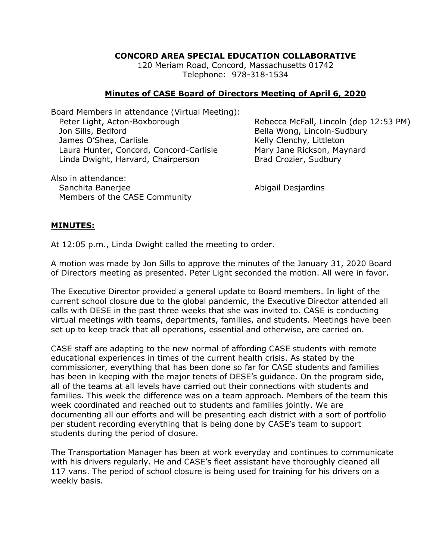## **CONCORD AREA SPECIAL EDUCATION COLLABORATIVE**

120 Meriam Road, Concord, Massachusetts 01742 Telephone: 978-318-1534

## **Minutes of CASE Board of Directors Meeting of April 6, 2020**

Board Members in attendance (Virtual Meeting): Peter Light, Acton-Boxborough Rebecca McFall, Lincoln (dep 12:53 PM) Jon Sills, Bedford **Bella Wong, Lincoln-Sudbury** James O'Shea, Carlisle Communication Cheaper Kelly Clenchy, Littleton Laura Hunter, Concord, Concord-Carlisle Mary Jane Rickson, Maynard Linda Dwight, Harvard, Chairperson Brad Crozier, Sudbury

Also in attendance: Sanchita Baneriee **Abigail Desiardins** Members of the CASE Community

## **MINUTES:**

At 12:05 p.m., Linda Dwight called the meeting to order.

A motion was made by Jon Sills to approve the minutes of the January 31, 2020 Board of Directors meeting as presented. Peter Light seconded the motion. All were in favor.

The Executive Director provided a general update to Board members. In light of the current school closure due to the global pandemic, the Executive Director attended all calls with DESE in the past three weeks that she was invited to. CASE is conducting virtual meetings with teams, departments, families, and students. Meetings have been set up to keep track that all operations, essential and otherwise, are carried on.

CASE staff are adapting to the new normal of affording CASE students with remote educational experiences in times of the current health crisis. As stated by the commissioner, everything that has been done so far for CASE students and families has been in keeping with the major tenets of DESE's guidance. On the program side, all of the teams at all levels have carried out their connections with students and families. This week the difference was on a team approach. Members of the team this week coordinated and reached out to students and families jointly. We are documenting all our efforts and will be presenting each district with a sort of portfolio per student recording everything that is being done by CASE's team to support students during the period of closure.

The Transportation Manager has been at work everyday and continues to communicate with his drivers regularly. He and CASE's fleet assistant have thoroughly cleaned all 117 vans. The period of school closure is being used for training for his drivers on a weekly basis.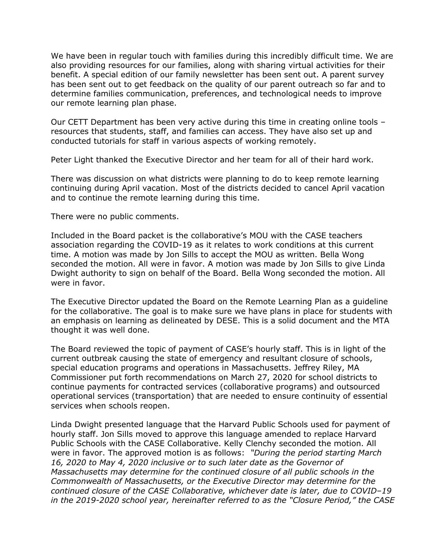We have been in regular touch with families during this incredibly difficult time. We are also providing resources for our families, along with sharing virtual activities for their benefit. A special edition of our family newsletter has been sent out. A parent survey has been sent out to get feedback on the quality of our parent outreach so far and to determine families communication, preferences, and technological needs to improve our remote learning plan phase.

Our CETT Department has been very active during this time in creating online tools – resources that students, staff, and families can access. They have also set up and conducted tutorials for staff in various aspects of working remotely.

Peter Light thanked the Executive Director and her team for all of their hard work.

There was discussion on what districts were planning to do to keep remote learning continuing during April vacation. Most of the districts decided to cancel April vacation and to continue the remote learning during this time.

There were no public comments.

Included in the Board packet is the collaborative's MOU with the CASE teachers association regarding the COVID-19 as it relates to work conditions at this current time. A motion was made by Jon Sills to accept the MOU as written. Bella Wong seconded the motion. All were in favor. A motion was made by Jon Sills to give Linda Dwight authority to sign on behalf of the Board. Bella Wong seconded the motion. All were in favor.

The Executive Director updated the Board on the Remote Learning Plan as a guideline for the collaborative. The goal is to make sure we have plans in place for students with an emphasis on learning as delineated by DESE. This is a solid document and the MTA thought it was well done.

The Board reviewed the topic of payment of CASE's hourly staff. This is in light of the current outbreak causing the state of emergency and resultant closure of schools, special education programs and operations in Massachusetts. Jeffrey Riley, MA Commissioner put forth recommendations on March 27, 2020 for school districts to continue payments for contracted services (collaborative programs) and outsourced operational services (transportation) that are needed to ensure continuity of essential services when schools reopen.

Linda Dwight presented language that the Harvard Public Schools used for payment of hourly staff. Jon Sills moved to approve this language amended to replace Harvard Public Schools with the CASE Collaborative. Kelly Clenchy seconded the motion. All were in favor. The approved motion is as follows: *"During the period starting March 16, 2020 to May 4, 2020 inclusive or to such later date as the Governor of Massachusetts may determine for the continued closure of all public schools in the Commonwealth of Massachusetts, or the Executive Director may determine for the continued closure of the CASE Collaborative, whichever date is later, due to COVID–19 in the 2019-2020 school year, hereinafter referred to as the "Closure Period," the CASE*